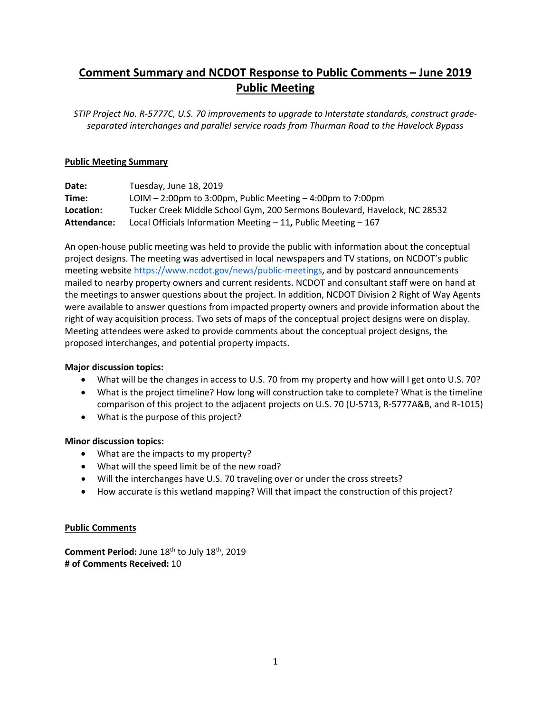## **Comment Summary and NCDOT Response to Public Comments – June 2019 Public Meeting**

*STIP Project No. R-5777C, U.S. 70 improvements to upgrade to Interstate standards, construct gradeseparated interchanges and parallel service roads from Thurman Road to the Havelock Bypass*

#### **Public Meeting Summary**

| Date:       | Tuesday, June 18, 2019                                                    |
|-------------|---------------------------------------------------------------------------|
| Time:       | LOIM $-$ 2:00pm to 3:00pm, Public Meeting $-$ 4:00pm to 7:00pm            |
| Location:   | Tucker Creek Middle School Gym, 200 Sermons Boulevard, Havelock, NC 28532 |
| Attendance: | Local Officials Information Meeting $-11$ , Public Meeting $-167$         |

An open-house public meeting was held to provide the public with information about the conceptual project designs. The meeting was advertised in local newspapers and TV stations, on NCDOT's public meeting website https://www.ncdot.gov/news/public-meetings, and by postcard announcements mailed to nearby property owners and current residents. NCDOT and consultant staff were on hand at the meetings to answer questions about the project. In addition, NCDOT Division 2 Right of Way Agents were available to answer questions from impacted property owners and provide information about the right of way acquisition process. Two sets of maps of the conceptual project designs were on display. Meeting attendees were asked to provide comments about the conceptual project designs, the proposed interchanges, and potential property impacts.

## **Major discussion topics:**

- What will be the changes in access to U.S. 70 from my property and how will I get onto U.S. 70?
- What is the project timeline? How long will construction take to complete? What is the timeline comparison of this project to the adjacent projects on U.S. 70 (U-5713, R-5777A&B, and R-1015)
- What is the purpose of this project?

## **Minor discussion topics:**

- What are the impacts to my property?
- What will the speed limit be of the new road?
- Will the interchanges have U.S. 70 traveling over or under the cross streets?
- How accurate is this wetland mapping? Will that impact the construction of this project?

## **Public Comments**

**Comment Period:** June 18<sup>th</sup> to July 18<sup>th</sup>, 2019 **# of Comments Received:** 10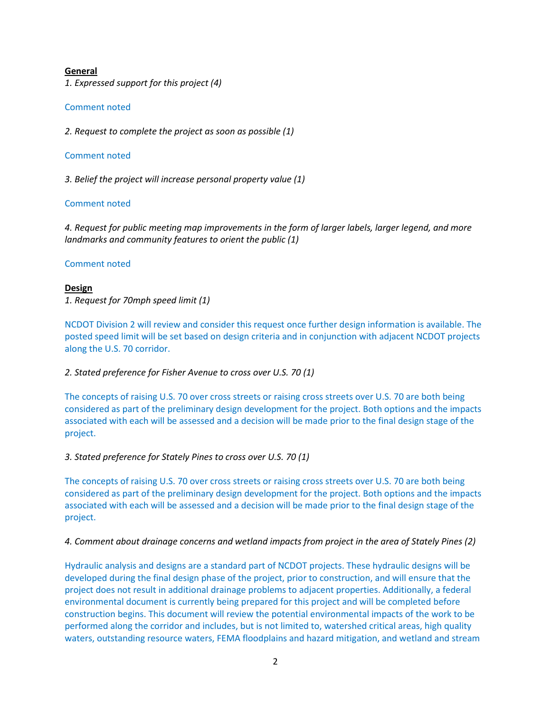#### **General**

*1. Expressed support for this project (4)*

#### Comment noted

*2. Request to complete the project as soon as possible (1)*

#### Comment noted

*3. Belief the project will increase personal property value (1)* 

#### Comment noted

*4. Request for public meeting map improvements in the form of larger labels, larger legend, and more landmarks and community features to orient the public (1)*

#### Comment noted

# **Design**

*1. Request for 70mph speed limit (1)*

NCDOT Division 2 will review and consider this request once further design information is available. The posted speed limit will be set based on design criteria and in conjunction with adjacent NCDOT projects along the U.S. 70 corridor.

## *2. Stated preference for Fisher Avenue to cross over U.S. 70 (1)*

The concepts of raising U.S. 70 over cross streets or raising cross streets over U.S. 70 are both being considered as part of the preliminary design development for the project. Both options and the impacts associated with each will be assessed and a decision will be made prior to the final design stage of the project.

*3. Stated preference for Stately Pines to cross over U.S. 70 (1)*

The concepts of raising U.S. 70 over cross streets or raising cross streets over U.S. 70 are both being considered as part of the preliminary design development for the project. Both options and the impacts associated with each will be assessed and a decision will be made prior to the final design stage of the project.

## *4. Comment about drainage concerns and wetland impacts from project in the area of Stately Pines (2)*

Hydraulic analysis and designs are a standard part of NCDOT projects. These hydraulic designs will be developed during the final design phase of the project, prior to construction, and will ensure that the project does not result in additional drainage problems to adjacent properties. Additionally, a federal environmental document is currently being prepared for this project and will be completed before construction begins. This document will review the potential environmental impacts of the work to be performed along the corridor and includes, but is not limited to, watershed critical areas, high quality waters, outstanding resource waters, FEMA floodplains and hazard mitigation, and wetland and stream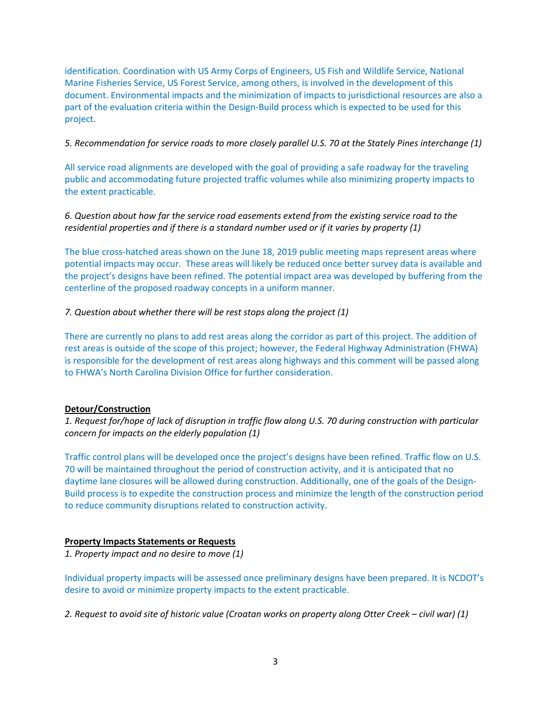identification. Coordination with US Army Corps of Engineers, US Fish and Wildlife Service, National Marine Fisheries Service, US Forest Service, among others, is involved in the development of this document. Environmental impacts and the minimization of impacts to jurisdictional resources are also a part of the evaluation criteria within the Design-Build process which is expected to be used for this project.

*5. Recommendation for service roads to more closely parallel U.S. 70 at the Stately Pines interchange (1)*

All service road alignments are developed with the goal of providing a safe roadway for the traveling public and accommodating future projected traffic volumes while also minimizing property impacts to the extent practicable.

*6. Question about how far the service road easements extend from the existing service road to the residential properties and if there is a standard number used or if it varies by property (1)*

The blue cross-hatched areas shown on the June 18, 2019 public meeting maps represent areas where potential impacts may occur. These areas will likely be reduced once better survey data is available and the project's designs have been refined. The potential impact area was developed by buffering from the centerline of the proposed roadway concepts in a uniform manner.

*7. Question about whether there will be rest stops along the project (1)*

There are currently no plans to add rest areas along the corridor as part of this project. The addition of rest areas is outside of the scope of this project; however, the Federal Highway Administration (FHWA) is responsible for the development of rest areas along highways and this comment will be passed along to FHWA's North Carolina Division Office for further consideration.

## **Detour/Construction**

*1. Request for/hope of lack of disruption in traffic flow along U.S. 70 during construction with particular concern for impacts on the elderly population (1)*

Traffic control plans will be developed once the project's designs have been refined. Traffic flow on U.S. 70 will be maintained throughout the period of construction activity, and it is anticipated that no daytime lane closures will be allowed during construction. Additionally, one of the goals of the Design-Build process is to expedite the construction process and minimize the length of the construction period to reduce community disruptions related to construction activity.

## **Property Impacts Statements or Requests**

*1. Property impact and no desire to move (1)*

Individual property impacts will be assessed once preliminary designs have been prepared. It is NCDOT's desire to avoid or minimize property impacts to the extent practicable.

*2. Request to avoid site of historic value (Croatan works on property along Otter Creek – civil war) (1)*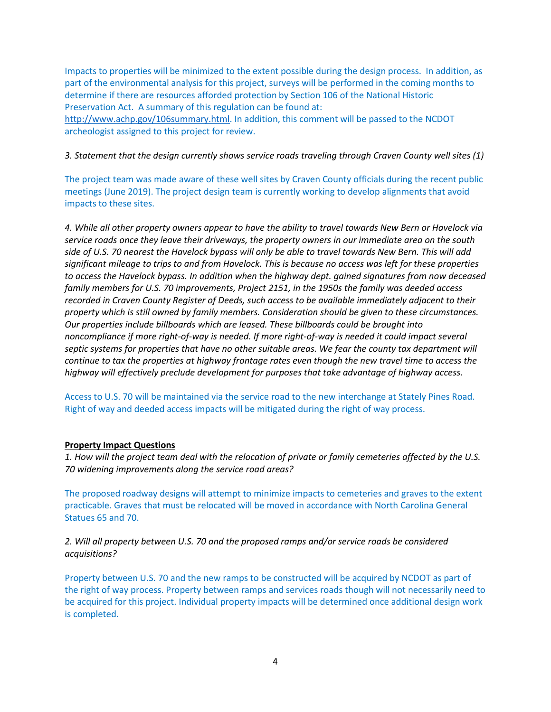Impacts to properties will be minimized to the extent possible during the design process. In addition, as part of the environmental analysis for this project, surveys will be performed in the coming months to determine if there are resources afforded protection by Section 106 of the National Historic Preservation Act. A summary of this regulation can be found at: [http://www.achp.gov/106summary.html.](http://www.achp.gov/106summary.html) In addition, this comment will be passed to the NCDOT

archeologist assigned to this project for review.

*3. Statement that the design currently shows service roads traveling through Craven County well sites (1)*

The project team was made aware of these well sites by Craven County officials during the recent public meetings (June 2019). The project design team is currently working to develop alignments that avoid impacts to these sites.

*4. While all other property owners appear to have the ability to travel towards New Bern or Havelock via service roads once they leave their driveways, the property owners in our immediate area on the south side of U.S. 70 nearest the Havelock bypass will only be able to travel towards New Bern. This will add significant mileage to trips to and from Havelock. This is because no access was left for these properties to access the Havelock bypass. In addition when the highway dept. gained signatures from now deceased family members for U.S. 70 improvements, Project 2151, in the 1950s the family was deeded access recorded in Craven County Register of Deeds, such access to be available immediately adjacent to their property which is still owned by family members. Consideration should be given to these circumstances. Our properties include billboards which are leased. These billboards could be brought into noncompliance if more right-of-way is needed. If more right-of-way is needed it could impact several septic systems for properties that have no other suitable areas. We fear the county tax department will continue to tax the properties at highway frontage rates even though the new travel time to access the highway will effectively preclude development for purposes that take advantage of highway access.*

Access to U.S. 70 will be maintained via the service road to the new interchange at Stately Pines Road. Right of way and deeded access impacts will be mitigated during the right of way process.

#### **Property Impact Questions**

*1. How will the project team deal with the relocation of private or family cemeteries affected by the U.S. 70 widening improvements along the service road areas?*

The proposed roadway designs will attempt to minimize impacts to cemeteries and graves to the extent practicable. Graves that must be relocated will be moved in accordance with North Carolina General Statues 65 and 70.

*2. Will all property between U.S. 70 and the proposed ramps and/or service roads be considered acquisitions?*

Property between U.S. 70 and the new ramps to be constructed will be acquired by NCDOT as part of the right of way process. Property between ramps and services roads though will not necessarily need to be acquired for this project. Individual property impacts will be determined once additional design work is completed.